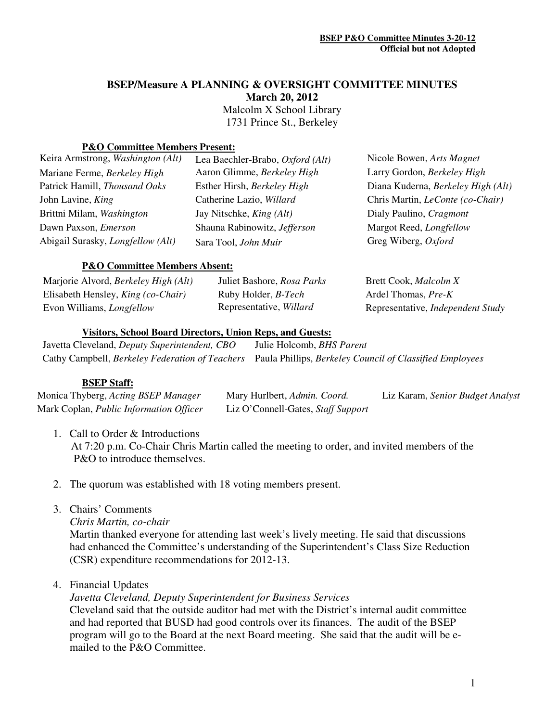# **BSEP/Measure A PLANNING & OVERSIGHT COMMITTEE MINUTES**

**March 20, 2012** 

 Malcolm X School Library 1731 Prince St., Berkeley

#### **P&O Committee Members Present:**

| Keira Armstrong, Washington (Alt)        | Lea Baechler-Brabo, Oxford (Alt) | Nicole Bowen, Arts Magnet               |
|------------------------------------------|----------------------------------|-----------------------------------------|
| Mariane Ferme, Berkeley High             | Aaron Glimme, Berkeley High      | Larry Gordon, Berkeley High             |
| Patrick Hamill, Thousand Oaks            | Esther Hirsh, Berkeley High      | Diana Kuderna, Berkeley High (Alt)      |
| John Lavine, King                        | Catherine Lazio, Willard         | Chris Martin, <i>LeConte</i> (co-Chair) |
| Brittni Milam, Washington                | Jay Nitschke, <i>King (Alt)</i>  | Dialy Paulino, Cragmont                 |
| Dawn Paxson, <i>Emerson</i>              | Shauna Rabinowitz, Jefferson     | Margot Reed, Longfellow                 |
| Abigail Surasky, <i>Longfellow</i> (Alt) | Sara Tool, John Muir             | Greg Wiberg, Oxford                     |
|                                          |                                  |                                         |

#### **P&O Committee Members Absent:**

| Marjorie Alvord, <i>Berkeley High</i> ( <i>Alt</i> ) | Juliet Bashore, Rosa Parks | Brett Cook, <i>Malcolm X</i>      |
|------------------------------------------------------|----------------------------|-----------------------------------|
| Elisabeth Hensley, <i>King (co-Chair)</i>            | Ruby Holder, <i>B-Tech</i> | Ardel Thomas, Pre-K               |
| Evon Williams, <i>Longfellow</i>                     | Representative, Willard    | Representative, Independent Study |

#### **Visitors, School Board Directors, Union Reps, and Guests:**

Javetta Cleveland, *Deputy Superintendent, CBO* Julie Holcomb, *BHS Parent*  Cathy Campbell, *Berkeley Federation of Teachers* Paula Phillips, *Berkeley Council of Classified Employees* 

#### **BSEP Staff:**

| Monica Thyberg, Acting BSEP Manager     | Mary Hurlbert, Admin. Coord.       | Liz Karam, Senior Budget Analyst |
|-----------------------------------------|------------------------------------|----------------------------------|
| Mark Coplan, Public Information Officer | Liz O'Connell-Gates, Staff Support |                                  |

- 1. Call to Order & Introductions At 7:20 p.m. Co-Chair Chris Martin called the meeting to order, and invited members of the P&O to introduce themselves.
- 2. The quorum was established with 18 voting members present.
- 3. Chairs' Comments
	- *Chris Martin, co-chair*

Martin thanked everyone for attending last week's lively meeting. He said that discussions had enhanced the Committee's understanding of the Superintendent's Class Size Reduction (CSR) expenditure recommendations for 2012-13.

4. Financial Updates

*Javetta Cleveland, Deputy Superintendent for Business Services* 

Cleveland said that the outside auditor had met with the District's internal audit committee and had reported that BUSD had good controls over its finances. The audit of the BSEP program will go to the Board at the next Board meeting. She said that the audit will be emailed to the P&O Committee.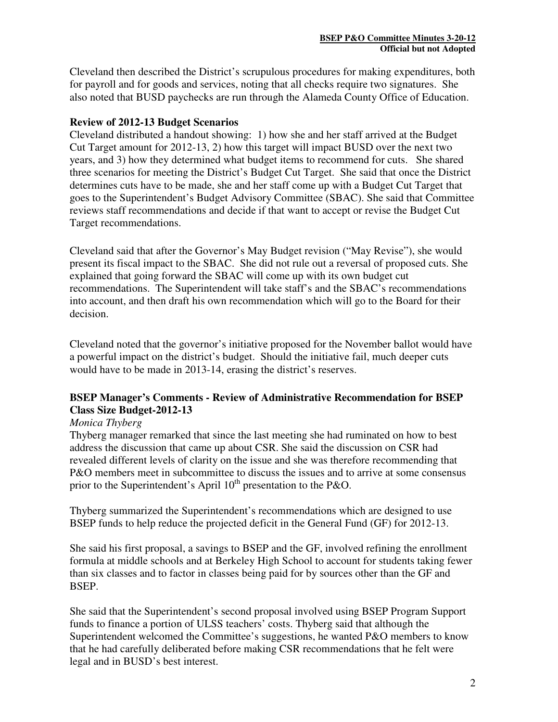Cleveland then described the District's scrupulous procedures for making expenditures, both for payroll and for goods and services, noting that all checks require two signatures. She also noted that BUSD paychecks are run through the Alameda County Office of Education.

## **Review of 2012-13 Budget Scenarios**

Cleveland distributed a handout showing: 1) how she and her staff arrived at the Budget Cut Target amount for 2012-13, 2) how this target will impact BUSD over the next two years, and 3) how they determined what budget items to recommend for cuts. She shared three scenarios for meeting the District's Budget Cut Target. She said that once the District determines cuts have to be made, she and her staff come up with a Budget Cut Target that goes to the Superintendent's Budget Advisory Committee (SBAC). She said that Committee reviews staff recommendations and decide if that want to accept or revise the Budget Cut Target recommendations.

Cleveland said that after the Governor's May Budget revision ("May Revise"), she would present its fiscal impact to the SBAC. She did not rule out a reversal of proposed cuts. She explained that going forward the SBAC will come up with its own budget cut recommendations. The Superintendent will take staff's and the SBAC's recommendations into account, and then draft his own recommendation which will go to the Board for their decision.

Cleveland noted that the governor's initiative proposed for the November ballot would have a powerful impact on the district's budget. Should the initiative fail, much deeper cuts would have to be made in 2013-14, erasing the district's reserves.

# **BSEP Manager's Comments - Review of Administrative Recommendation for BSEP Class Size Budget-2012-13**

#### *Monica Thyberg*

Thyberg manager remarked that since the last meeting she had ruminated on how to best address the discussion that came up about CSR. She said the discussion on CSR had revealed different levels of clarity on the issue and she was therefore recommending that P&O members meet in subcommittee to discuss the issues and to arrive at some consensus prior to the Superintendent's April  $10^{th}$  presentation to the P&O.

Thyberg summarized the Superintendent's recommendations which are designed to use BSEP funds to help reduce the projected deficit in the General Fund (GF) for 2012-13.

She said his first proposal, a savings to BSEP and the GF, involved refining the enrollment formula at middle schools and at Berkeley High School to account for students taking fewer than six classes and to factor in classes being paid for by sources other than the GF and BSEP.

She said that the Superintendent's second proposal involved using BSEP Program Support funds to finance a portion of ULSS teachers' costs. Thyberg said that although the Superintendent welcomed the Committee's suggestions, he wanted P&O members to know that he had carefully deliberated before making CSR recommendations that he felt were legal and in BUSD's best interest.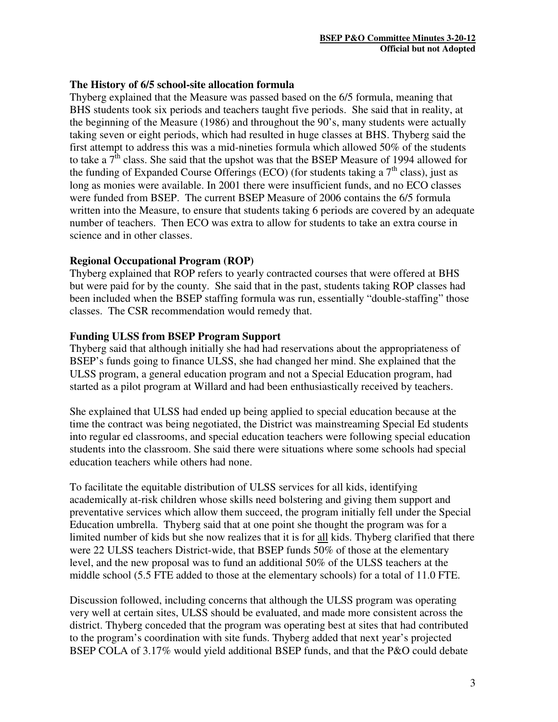## **The History of 6/5 school-site allocation formula**

Thyberg explained that the Measure was passed based on the 6/5 formula, meaning that BHS students took six periods and teachers taught five periods. She said that in reality, at the beginning of the Measure (1986) and throughout the 90's, many students were actually taking seven or eight periods, which had resulted in huge classes at BHS. Thyberg said the first attempt to address this was a mid-nineties formula which allowed 50% of the students to take a  $7<sup>th</sup>$  class. She said that the upshot was that the BSEP Measure of 1994 allowed for the funding of Expanded Course Offerings (ECO) (for students taking a  $7<sup>th</sup>$  class), just as long as monies were available. In 2001 there were insufficient funds, and no ECO classes were funded from BSEP. The current BSEP Measure of 2006 contains the 6/5 formula written into the Measure, to ensure that students taking 6 periods are covered by an adequate number of teachers. Then ECO was extra to allow for students to take an extra course in science and in other classes.

## **Regional Occupational Program (ROP)**

Thyberg explained that ROP refers to yearly contracted courses that were offered at BHS but were paid for by the county. She said that in the past, students taking ROP classes had been included when the BSEP staffing formula was run, essentially "double-staffing" those classes. The CSR recommendation would remedy that.

## **Funding ULSS from BSEP Program Support**

Thyberg said that although initially she had had reservations about the appropriateness of BSEP's funds going to finance ULSS, she had changed her mind. She explained that the ULSS program, a general education program and not a Special Education program, had started as a pilot program at Willard and had been enthusiastically received by teachers.

She explained that ULSS had ended up being applied to special education because at the time the contract was being negotiated, the District was mainstreaming Special Ed students into regular ed classrooms, and special education teachers were following special education students into the classroom. She said there were situations where some schools had special education teachers while others had none.

To facilitate the equitable distribution of ULSS services for all kids, identifying academically at-risk children whose skills need bolstering and giving them support and preventative services which allow them succeed, the program initially fell under the Special Education umbrella. Thyberg said that at one point she thought the program was for a limited number of kids but she now realizes that it is for all kids. Thyberg clarified that there were 22 ULSS teachers District-wide, that BSEP funds 50% of those at the elementary level, and the new proposal was to fund an additional 50% of the ULSS teachers at the middle school (5.5 FTE added to those at the elementary schools) for a total of 11.0 FTE.

Discussion followed, including concerns that although the ULSS program was operating very well at certain sites, ULSS should be evaluated, and made more consistent across the district. Thyberg conceded that the program was operating best at sites that had contributed to the program's coordination with site funds. Thyberg added that next year's projected BSEP COLA of 3.17% would yield additional BSEP funds, and that the P&O could debate